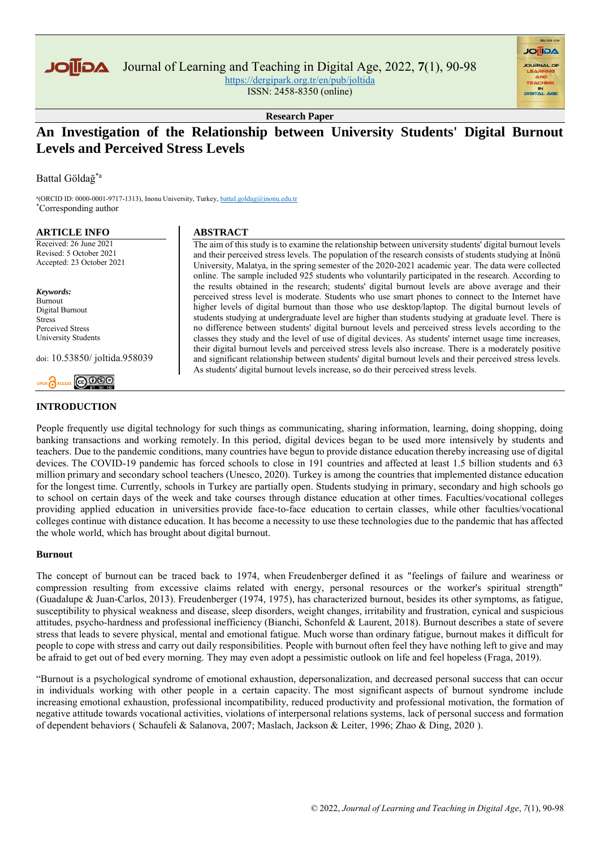

Journal of Learning and Teaching in Digital Age, 2022, **7**(1), 90-98 <https://dergipark.org.tr/en/pub/joltida>

ISSN: 2458-8350 (online)

**AGIIOL** 

**Research Paper**

## **An Investigation of the Relationship between University Students' Digital Burnout Levels and Perceived Stress Levels**

Battal Göldağ\*a

a (ORCID ID: 0000-0001-9717-1313), Inonu University, Turkey, battal.goldag@inonu.edu.tr \*Corresponding author

#### **ARTICLE INFO**

Received: 26 June 2021 Revised: 5 October 2021 Accepted: 23 October 2021

*Keywords:* Burnout Digital Burnout Stress Perceived Stress University Students

doi: 10.53850/ joltida.958039

# OPEN **A**ACCESS **@ 000**

## **INTRODUCTION**

#### **ABSTRACT**

The aim of this study is to examine the relationship between university students' digital burnout levels and their perceived stress levels. The population of the research consists of students studying at İnönü University, Malatya, in the spring semester of the 2020-2021 academic year. The data were collected online. The sample included 925 students who voluntarily participated in the research. According to the results obtained in the research; students' digital burnout levels are above average and their perceived stress level is moderate. Students who use smart phones to connect to the Internet have higher levels of digital burnout than those who use desktop/laptop. The digital burnout levels of students studying at undergraduate level are higher than students studying at graduate level. There is no difference between students' digital burnout levels and perceived stress levels according to the classes they study and the level of use of digital devices. As students' internet usage time increases, their digital burnout levels and perceived stress levels also increase. There is a moderately positive and significant relationship between students' digital burnout levels and their perceived stress levels. As students' digital burnout levels increase, so do their perceived stress levels.

People frequently use digital technology for such things as communicating, sharing information, learning, doing shopping, doing banking transactions and working remotely. In this period, digital devices began to be used more intensively by students and teachers. Due to the pandemic conditions, many countries have begun to provide distance education thereby increasing use of digital devices. The COVID-19 pandemic has forced schools to close in 191 countries and affected at least 1.5 billion students and 63 million primary and secondary school teachers (Unesco, 2020). Turkey is among the countries that implemented distance education for the longest time. Currently, schools in Turkey are partially open. Students studying in primary, secondary and high schools go to school on certain days of the week and take courses through distance education at other times. Faculties/vocational colleges providing applied education in universities provide face-to-face education to certain classes, while other faculties/vocational colleges continue with distance education. It has become a necessity to use these technologies due to the pandemic that has affected the whole world, which has brought about digital burnout.

#### **Burnout**

The concept of burnout can be traced back to 1974, when Freudenberger defined it as "feelings of failure and weariness or compression resulting from excessive claims related with energy, personal resources or the worker's spiritual strength" (Guadalupe & Juan-Carlos, 2013). Freudenberger (1974, 1975), has characterized burnout, besides its other symptoms, as fatigue, susceptibility to physical weakness and disease, sleep disorders, weight changes, irritability and frustration, cynical and suspicious attitudes, psycho-hardness and professional inefficiency (Bianchi, Schonfeld & Laurent, 2018). Burnout describes a state of severe stress that leads to severe physical, mental and emotional fatigue. Much worse than ordinary fatigue, burnout makes it difficult for people to cope with stress and carry out daily responsibilities. People with burnout often feel they have nothing left to give and may be afraid to get out of bed every morning. They may even adopt a pessimistic outlook on life and feel hopeless (Fraga, 2019).

"Burnout is a psychological syndrome of emotional exhaustion, depersonalization, and decreased personal success that can occur in individuals working with other people in a certain capacity. The most significant aspects of burnout syndrome include increasing emotional exhaustion, professional incompatibility, reduced productivity and professional motivation, the formation of negative attitude towards vocational activities, violations of interpersonal relations systems, lack of personal success and formation of dependent behaviors ( Schaufeli & Salanova, 2007; Maslach, Jackson & Leiter, 1996; Zhao & Ding, 2020 ).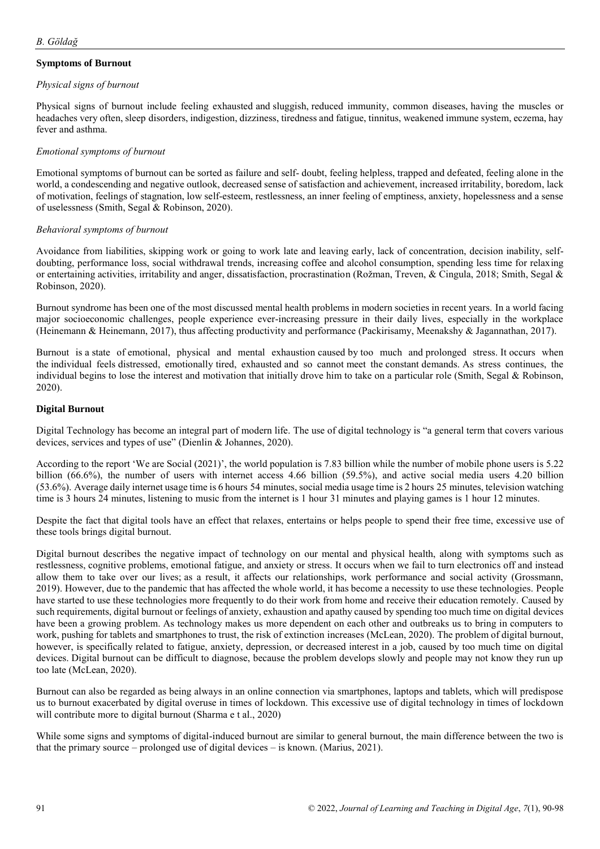## **Symptoms of Burnout**

#### *Physical signs of burnout*

Physical signs of burnout include feeling exhausted and sluggish, reduced immunity, common diseases, having the muscles or headaches very often, sleep disorders, indigestion, dizziness, tiredness and fatigue, tinnitus, weakened immune system, eczema, hay fever and asthma.

#### *Emotional symptoms of burnout*

Emotional symptoms of burnout can be sorted as failure and self- doubt, feeling helpless, trapped and defeated, feeling alone in the world, a condescending and negative outlook, decreased sense of satisfaction and achievement, increased irritability, boredom, lack of motivation, feelings of stagnation, low self-esteem, restlessness, an inner feeling of emptiness, anxiety, hopelessness and a sense of uselessness (Smith, Segal & Robinson, 2020).

#### *Behavioral symptoms of burnout*

Avoidance from liabilities, skipping work or going to work late and leaving early, lack of concentration, decision inability, selfdoubting, performance loss, social withdrawal trends, increasing coffee and alcohol consumption, spending less time for relaxing or entertaining activities, irritability and anger, dissatisfaction, procrastination (Rožman, Treven, & Cingula, 2018; Smith, Segal & Robinson, 2020).

Burnout syndrome has been one of the most discussed mental health problems in modern societies in recent years. In a world facing major socioeconomic challenges, people experience ever-increasing pressure in their daily lives, especially in the workplace (Heinemann & Heinemann, 2017), thus affecting productivity and performance (Packirisamy, Meenakshy & Jagannathan, 2017).

Burnout is a state of emotional, physical and mental exhaustion caused by too much and prolonged stress. It occurs when the individual feels distressed, emotionally tired, exhausted and so cannot meet the constant demands. As stress continues, the individual begins to lose the interest and motivation that initially drove him to take on a particular role (Smith, Segal & Robinson, 2020).

### **Digital Burnout**

Digital Technology has become an integral part of modern life. The use of digital technology is "a general term that covers various devices, services and types of use" (Dienlin & Johannes, 2020).

According to the report 'We are Social (2021)', the world population is 7.83 billion while the number of mobile phone users is 5.22 billion (66.6%), the number of users with internet access 4.66 billion (59.5%), and active social media users 4.20 billion (53.6%). Average daily internet usage time is 6 hours 54 minutes, social media usage time is 2 hours 25 minutes, television watching time is 3 hours 24 minutes, listening to music from the internet is 1 hour 31 minutes and playing games is 1 hour 12 minutes.

Despite the fact that digital tools have an effect that relaxes, entertains or helps people to spend their free time, excessive use of these tools brings digital burnout.

Digital burnout describes the negative impact of technology on our mental and physical health, along with symptoms such as restlessness, cognitive problems, emotional fatigue, and anxiety or stress. It occurs when we fail to turn electronics off and instead allow them to take over our lives; as a result, it affects our relationships, work performance and social activity (Grossmann, 2019). However, due to the pandemic that has affected the whole world, it has become a necessity to use these technologies. People have started to use these technologies more frequently to do their work from home and receive their education remotely. Caused by such requirements, digital burnout or feelings of anxiety, exhaustion and apathy caused by spending too much time on digital devices have been a growing problem. As technology makes us more dependent on each other and outbreaks us to bring in computers to work, pushing for tablets and smartphones to trust, the risk of extinction increases (McLean, 2020). The problem of digital burnout, however, is specifically related to fatigue, anxiety, depression, or decreased interest in a job, caused by too much time on digital devices. Digital burnout can be difficult to diagnose, because the problem develops slowly and people may not know they run up too late (McLean, 2020).

Burnout can also be regarded as being always in an online connection via smartphones, laptops and tablets, which will predispose us to burnout exacerbated by digital overuse in times of lockdown. This excessive use of digital technology in times of lockdown will contribute more to digital burnout (Sharma e t al., 2020)

While some signs and symptoms of digital-induced burnout are similar to general burnout, the main difference between the two is that the primary source – prolonged use of digital devices – is known. (Marius, 2021).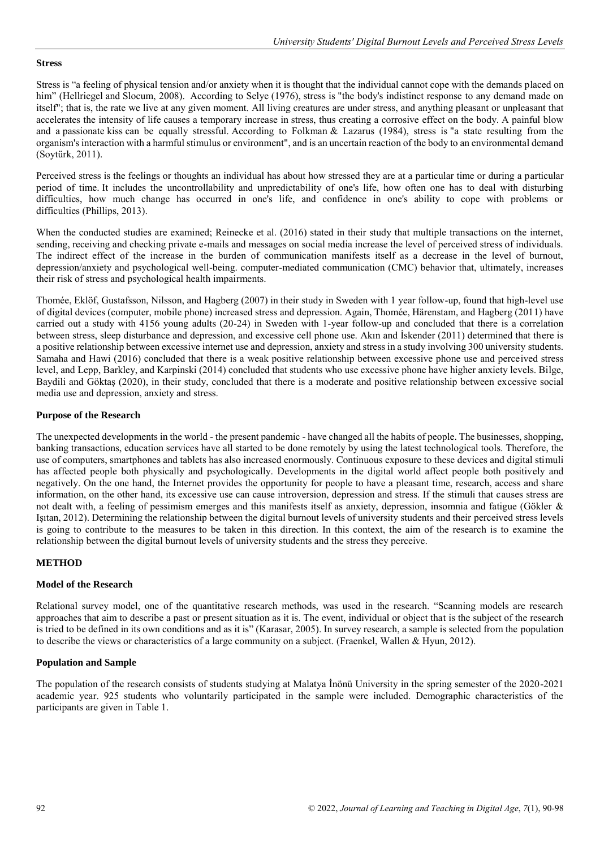#### **Stress**

Stress is "a feeling of physical tension and/or anxiety when it is thought that the individual cannot cope with the demands placed on him" (Hellriegel and Slocum, 2008). According to Selve (1976), stress is "the body's indistinct response to any demand made on itself"; that is, the rate we live at any given moment. All living creatures are under stress, and anything pleasant or unpleasant that accelerates the intensity of life causes a temporary increase in stress, thus creating a corrosive effect on the body. A painful blow and a passionate kiss can be equally stressful. According to Folkman & Lazarus (1984), stress is "a state resulting from the organism's interaction with a harmful stimulus or environment", and is an uncertain reaction of the body to an environmental demand (Soytürk, 2011).

Perceived stress is the feelings or thoughts an individual has about how stressed they are at a particular time or during a particular period of time. It includes the uncontrollability and unpredictability of one's life, how often one has to deal with disturbing difficulties, how much change has occurred in one's life, and confidence in one's ability to cope with problems or difficulties (Phillips, 2013).

When the conducted studies are examined; Reinecke et al. (2016) stated in their study that multiple transactions on the internet, sending, receiving and checking private e-mails and messages on social media increase the level of perceived stress of individuals. The indirect effect of the increase in the burden of communication manifests itself as a decrease in the level of burnout, depression/anxiety and psychological well-being. computer-mediated communication (CMC) behavior that, ultimately, increases their risk of stress and psychological health impairments.

Thomée, Eklöf, Gustafsson, Nilsson, and Hagberg (2007) in their study in Sweden with 1 year follow-up, found that high-level use of digital devices (computer, mobile phone) increased stress and depression. Again, Thomée, Härenstam, and Hagberg (2011) have carried out a study with 4156 young adults (20-24) in Sweden with 1-year follow-up and concluded that there is a correlation between stress, sleep disturbance and depression, and excessive cell phone use. Akın and İskender (2011) determined that there is a positive relationship between excessive internet use and depression, anxiety and stress in a study involving 300 university students. Samaha and Hawi (2016) concluded that there is a weak positive relationship between excessive phone use and perceived stress level, and Lepp, Barkley, and Karpinski (2014) concluded that students who use excessive phone have higher anxiety levels. Bilge, Baydili and Göktaş (2020), in their study, concluded that there is a moderate and positive relationship between excessive social media use and depression, anxiety and stress.

#### **Purpose of the Research**

The unexpected developments in the world - the present pandemic - have changed all the habits of people. The businesses, shopping, banking transactions, education services have all started to be done remotely by using the latest technological tools. Therefore, the use of computers, smartphones and tablets has also increased enormously. Continuous exposure to these devices and digital stimuli has affected people both physically and psychologically. Developments in the digital world affect people both positively and negatively. On the one hand, the Internet provides the opportunity for people to have a pleasant time, research, access and share information, on the other hand, its excessive use can cause introversion, depression and stress. If the stimuli that causes stress are not dealt with, a feeling of pessimism emerges and this manifests itself as anxiety, depression, insomnia and fatigue (Gökler & Işıtan, 2012). Determining the relationship between the digital burnout levels of university students and their perceived stress levels is going to contribute to the measures to be taken in this direction. In this context, the aim of the research is to examine the relationship between the digital burnout levels of university students and the stress they perceive.

#### **METHOD**

#### **Model of the Research**

Relational survey model, one of the quantitative research methods, was used in the research. "Scanning models are research approaches that aim to describe a past or present situation as it is. The event, individual or object that is the subject of the research is tried to be defined in its own conditions and as it is" (Karasar, 2005). In survey research, a sample is selected from the population to describe the views or characteristics of a large community on a subject. (Fraenkel, Wallen & Hyun, 2012).

#### **Population and Sample**

The population of the research consists of students studying at Malatya İnönü University in the spring semester of the 2020-2021 academic year. 925 students who voluntarily participated in the sample were included. Demographic characteristics of the participants are given in Table 1.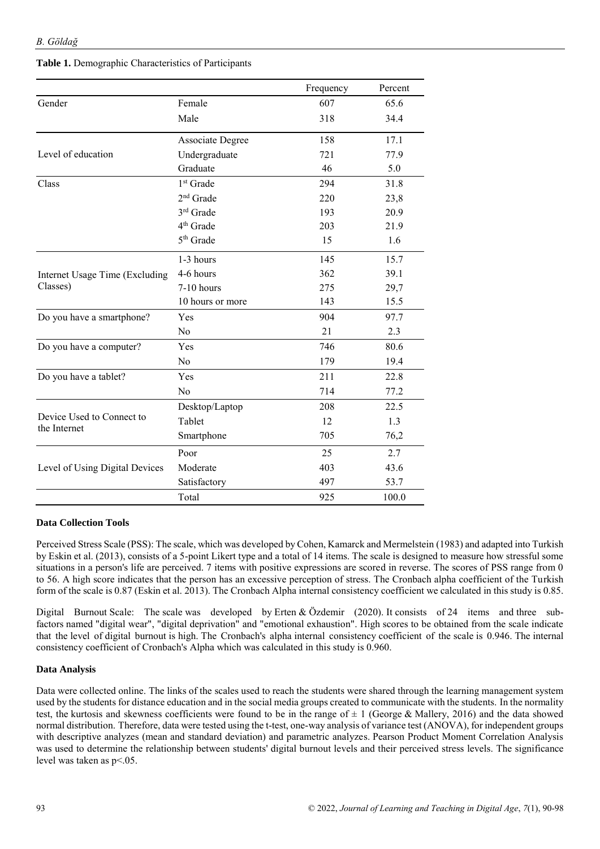|                                |                         | Frequency | Percent |
|--------------------------------|-------------------------|-----------|---------|
| Gender                         | Female                  | 607       | 65.6    |
|                                | Male                    | 318       | 34.4    |
|                                | <b>Associate Degree</b> | 158       | 17.1    |
| Level of education             | Undergraduate           | 721       | 77.9    |
|                                | Graduate                | 46        | 5.0     |
| Class                          | $1st$ Grade             | 294       | 31.8    |
|                                | 2 <sup>nd</sup> Grade   | 220       | 23,8    |
|                                | 3rd Grade               | 193       | 20.9    |
|                                | 4 <sup>th</sup> Grade   | 203       | 21.9    |
|                                | 5 <sup>th</sup> Grade   | 15        | 1.6     |
|                                | 1-3 hours               | 145       | 15.7    |
| Internet Usage Time (Excluding | 4-6 hours               | 362       | 39.1    |
| Classes)                       | 7-10 hours              | 275       | 29,7    |
|                                | 10 hours or more        | 143       | 15.5    |
| Do you have a smartphone?      | Yes                     | 904       | 97.7    |
|                                | N <sub>0</sub>          | 21        | 2.3     |
| Do you have a computer?        | Yes                     | 746       | 80.6    |
|                                | N <sub>0</sub>          | 179       | 19.4    |
| Do you have a tablet?          | Yes                     | 211       | 22.8    |
|                                | N <sub>0</sub>          | 714       | 77.2    |
|                                | Desktop/Laptop          | 208       | 22.5    |
| Device Used to Connect to      | Tablet                  | 12        | 1.3     |
| the Internet                   | Smartphone              | 705       | 76,2    |
|                                | Poor                    | 25        | 2.7     |
| Level of Using Digital Devices | Moderate                | 403       | 43.6    |
|                                | Satisfactory            | 497       | 53.7    |
|                                | Total                   | 925       | 100.0   |

#### **Table 1.** Demographic Characteristics of Participants

#### **Data Collection Tools**

Perceived Stress Scale (PSS): The scale, which was developed by Cohen, Kamarck and Mermelstein (1983) and adapted into Turkish by Eskin et al. (2013), consists of a 5-point Likert type and a total of 14 items. The scale is designed to measure how stressful some situations in a person's life are perceived. 7 items with positive expressions are scored in reverse. The scores of PSS range from 0 to 56. A high score indicates that the person has an excessive perception of stress. The Cronbach alpha coefficient of the Turkish form of the scale is 0.87 (Eskin et al. 2013). The Cronbach Alpha internal consistency coefficient we calculated in this study is 0.85.

Digital Burnout Scale: The scale was developed by Erten & Özdemir (2020). It consists of 24 items and three subfactors named "digital wear", "digital deprivation" and "emotional exhaustion". High scores to be obtained from the scale indicate that the level of digital burnout is high. The Cronbach's alpha internal consistency coefficient of the scale is 0.946. The internal consistency coefficient of Cronbach's Alpha which was calculated in this study is 0.960.

#### **Data Analysis**

Data were collected online. The links of the scales used to reach the students were shared through the learning management system used by the students for distance education and in the social media groups created to communicate with the students. In the normality test, the kurtosis and skewness coefficients were found to be in the range of  $\pm$  1 (George & Mallery, 2016) and the data showed normal distribution. Therefore, data were tested using the t-test, one-way analysis of variance test (ANOVA), for independent groups with descriptive analyzes (mean and standard deviation) and parametric analyzes. Pearson Product Moment Correlation Analysis was used to determine the relationship between students' digital burnout levels and their perceived stress levels. The significance level was taken as p<.05.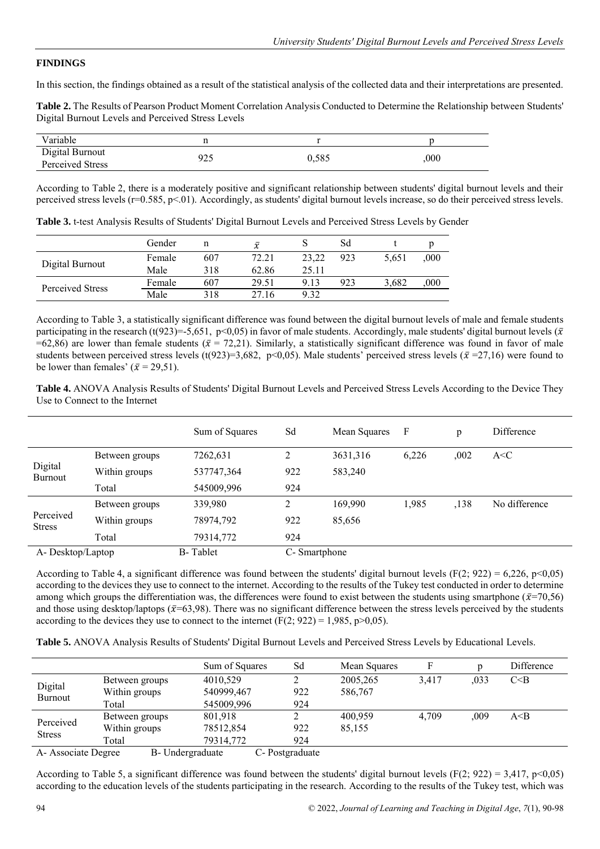#### **FINDINGS**

In this section, the findings obtained as a result of the statistical analysis of the collected data and their interpretations are presented.

**Table 2.** The Results of Pearson Product Moment Correlation Analysis Conducted to Determine the Relationship between Students' Digital Burnout Levels and Perceived Stress Levels

| Variable                            |            |       |     |
|-------------------------------------|------------|-------|-----|
| Digital Burnout<br>Perceived Stress | 025<br>ن ک | 0.585 | 000 |

According to Table 2, there is a moderately positive and significant relationship between students' digital burnout levels and their perceived stress levels (r=0.585, p<.01). Accordingly, as students' digital burnout levels increase, so do their perceived stress levels.

**Table 3.** t-test Analysis Results of Students' Digital Burnout Levels and Perceived Stress Levels by Gender

|                  | Gender | n   | $\bar{x}$ |       | Sd  |       |      |
|------------------|--------|-----|-----------|-------|-----|-------|------|
| Digital Burnout  | Female | 607 | 72.21     | 23.22 | 923 | 5.651 | 000, |
|                  | Male   | 318 | 62.86     | 25.11 |     |       |      |
| Perceived Stress | Female | 607 | 29.51     | 9.13  | 923 | 3.682 | 000, |
|                  | Male   | 318 | 27.16     | 9.32  |     |       |      |

According to Table 3, a statistically significant difference was found between the digital burnout levels of male and female students participating in the research (t(923)=-5,651, p<0,05) in favor of male students. Accordingly, male students' digital burnout levels ( $\bar{x}$ =62,86) are lower than female students ( $\bar{x}$  = 72,21). Similarly, a statistically significant difference was found in favor of male students between perceived stress levels (t(923)=3,682, p<0,05). Male students' perceived stress levels ( $\bar{x}$ =27,16) were found to be lower than females'  $(\bar{x} = 29.51)$ .

**Table 4.** ANOVA Analysis Results of Students' Digital Burnout Levels and Perceived Stress Levels According to the Device They Use to Connect to the Internet

|                            |                | Sum of Squares   | Sd           | Mean Squares | - F   | p    | Difference    |
|----------------------------|----------------|------------------|--------------|--------------|-------|------|---------------|
| Digital<br>Burnout         | Between groups | 7262,631         | 2            | 3631,316     | 6,226 | ,002 | A < C         |
|                            | Within groups  | 537747,364       | 922          | 583,240      |       |      |               |
|                            | Total          | 545009,996       | 924          |              |       |      |               |
|                            | Between groups | 339,980          | 2            | 169,990      | 1.985 | ,138 | No difference |
| Perceived<br><b>Stress</b> | Within groups  | 78974,792        | 922          | 85,656       |       |      |               |
|                            | Total          | 79314,772        | 924          |              |       |      |               |
| A-Desktop/Laptop           |                | <b>B</b> -Tablet | C-Smartphone |              |       |      |               |

According to Table 4, a significant difference was found between the students' digital burnout levels (F(2; 922) = 6,226, p<0,05) according to the devices they use to connect to the internet. According to the results of the Tukey test conducted in order to determine among which groups the differentiation was, the differences were found to exist between the students using smartphone ( $\bar{x}$ =70,56) and those using desktop/laptops ( $\bar{x}$ =63,98). There was no significant difference between the stress levels perceived by the students according to the devices they use to connect to the internet (F(2; 922) = 1,985, p $>0,05$ ).

**Table 5.** ANOVA Analysis Results of Students' Digital Burnout Levels and Perceived Stress Levels by Educational Levels.

|                                        |                | Sum of Squares | Sd             | Mean Squares | F     |      | Difference |
|----------------------------------------|----------------|----------------|----------------|--------------|-------|------|------------|
|                                        | Between groups | 4010,529       |                | 2005,265     | 3.417 | .033 | C < B      |
| Digital                                | Within groups  | 540999,467     | 922            | 586,767      |       |      |            |
| <b>Burnout</b>                         | Total          | 545009,996     | 924            |              |       |      |            |
|                                        | Between groups | 801,918        |                | 400.959      | 4.709 | .009 | A< B       |
| Perceived<br><b>Stress</b>             | Within groups  | 78512,854      | 922            | 85,155       |       |      |            |
|                                        | Total          | 79314,772      | 924            |              |       |      |            |
| B- Undergraduate<br>A-Associate Degree |                |                | C-Postgraduate |              |       |      |            |

According to Table 5, a significant difference was found between the students' digital burnout levels (F(2; 922) = 3,417, p<0,05) according to the education levels of the students participating in the research. According to the results of the Tukey test, which was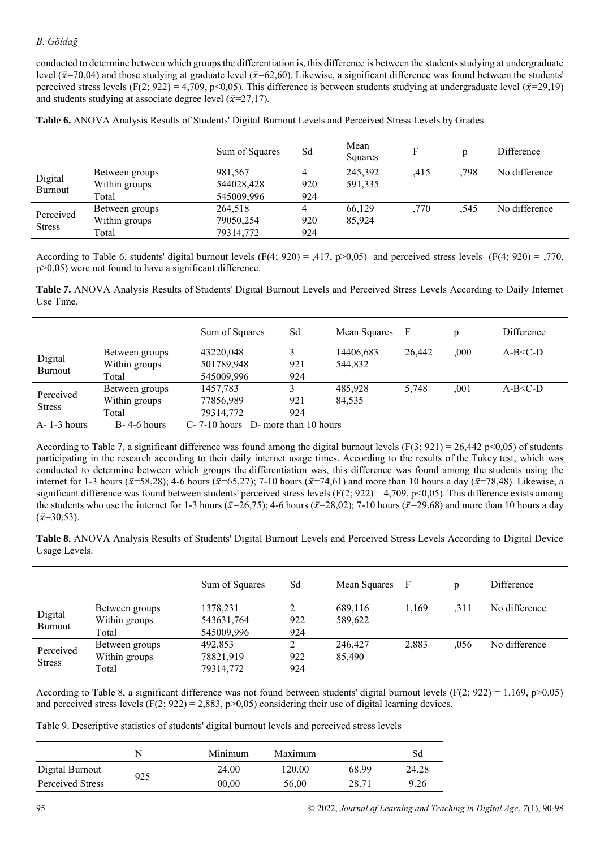conducted to determine between which groups the differentiation is, this difference is between the students studying at undergraduate level ( $\bar{x}$ =70,04) and those studying at graduate level ( $\bar{x}$ =62,60). Likewise, a significant difference was found between the students' perceived stress levels (F(2; 922) = 4,709, p<0,05). This difference is between students studying at undergraduate level ( $\bar{x}=29,19$ ) and students studying at associate degree level ( $\bar{x}$ =27,17).

**Table 6.** ANOVA Analysis Results of Students' Digital Burnout Levels and Perceived Stress Levels by Grades.

|                            |                | Sum of Squares | Sd  | Mean<br>Squares |      | D    | Difference    |
|----------------------------|----------------|----------------|-----|-----------------|------|------|---------------|
|                            | Between groups | 981,567        |     | 245,392         | .415 | ,798 | No difference |
| Digital                    | Within groups  | 544028,428     | 920 | 591,335         |      |      |               |
| Burnout                    | Total          | 545009,996     | 924 |                 |      |      |               |
|                            | Between groups | 264,518        |     | 66.129          | .770 | .545 | No difference |
| Perceived<br><b>Stress</b> | Within groups  | 79050,254      | 920 | 85.924          |      |      |               |
|                            | Total          | 79314,772      | 924 |                 |      |      |               |

According to Table 6, students' digital burnout levels (F(4; 920) = ,417, p>0,05) and perceived stress levels (F(4; 920) = ,770, p>0,05) were not found to have a significant difference.

**Table 7.** ANOVA Analysis Results of Students' Digital Burnout Levels and Perceived Stress Levels According to Daily Internet Use Time.

|                            |                   | Sum of Squares                           | Sd  | Mean Squares | F      |      | <b>Difference</b> |
|----------------------------|-------------------|------------------------------------------|-----|--------------|--------|------|-------------------|
|                            | Between groups    | 43220,048                                |     | 14406.683    | 26,442 | .000 | $A-B < C-D$       |
| Digital                    | Within groups     | 501789,948                               | 921 | 544,832      |        |      |                   |
| <b>Burnout</b>             | Total             | 545009,996                               | 924 |              |        |      |                   |
|                            | Between groups    | 1457,783                                 | 3   | 485.928      | 5.748  | .001 | $A-B < C-D$       |
| Perceived<br><b>Stress</b> | Within groups     | 77856,989                                | 921 | 84,535       |        |      |                   |
|                            | Total             | 79314,772                                | 924 |              |        |      |                   |
| $A-1-3$ hours              | $B - 4 - 6$ hours | $C - 7 - 10$ hours D- more than 10 hours |     |              |        |      |                   |

According to Table 7, a significant difference was found among the digital burnout levels (F(3; 921) = 26,442 p<0,05) of students participating in the research according to their daily internet usage times. According to the results of the Tukey test, which was conducted to determine between which groups the differentiation was, this difference was found among the students using the internet for 1-3 hours ( $\bar{x}$ =58,28); 4-6 hours ( $\bar{x}$ =65,27); 7-10 hours ( $\bar{x}$ =74,61) and more than 10 hours a day ( $\bar{x}$ =78,48). Likewise, a significant difference was found between students' perceived stress levels ( $F(2, 922) = 4,709$ ,  $p<0,05$ ). This difference exists among the students who use the internet for 1-3 hours ( $\bar{x}=26,75$ ); 4-6 hours ( $\bar{x}=28,02$ ); 7-10 hours ( $\bar{x}=29,68$ ) and more than 10 hours a day  $(\bar{x}=30.53)$ .

**Table 8.** ANOVA Analysis Results of Students' Digital Burnout Levels and Perceived Stress Levels According to Digital Device Usage Levels.

|                            |                | Sum of Squares | Sd  | Mean Squares | F     | n    | <b>Difference</b> |
|----------------------------|----------------|----------------|-----|--------------|-------|------|-------------------|
|                            | Between groups | 1378,231       |     | 689.116      | 1.169 | .311 | No difference     |
| Digital<br>Burnout         | Within groups  | 543631,764     | 922 | 589,622      |       |      |                   |
|                            | Total          | 545009,996     | 924 |              |       |      |                   |
|                            | Between groups | 492,853        | 2   | 246,427      | 2,883 | .056 | No difference     |
| Perceived<br><b>Stress</b> | Within groups  | 78821,919      | 922 | 85,490       |       |      |                   |
|                            | Total          | 79314,772      | 924 |              |       |      |                   |

According to Table 8, a significant difference was not found between students' digital burnout levels (F(2; 922) = 1,169, p>0,05) and perceived stress levels (F(2; 922) = 2,883, p>0,05) considering their use of digital learning devices.

Table 9. Descriptive statistics of students' digital burnout levels and perceived stress levels

|                  |     | Minimum | Maximum |       |       |
|------------------|-----|---------|---------|-------|-------|
| Digital Burnout  |     | 24.00   | 120.00  | 68.99 | 24.28 |
| Perceived Stress | 925 | 00.00   | 56.00   | 28.71 | 9.26  |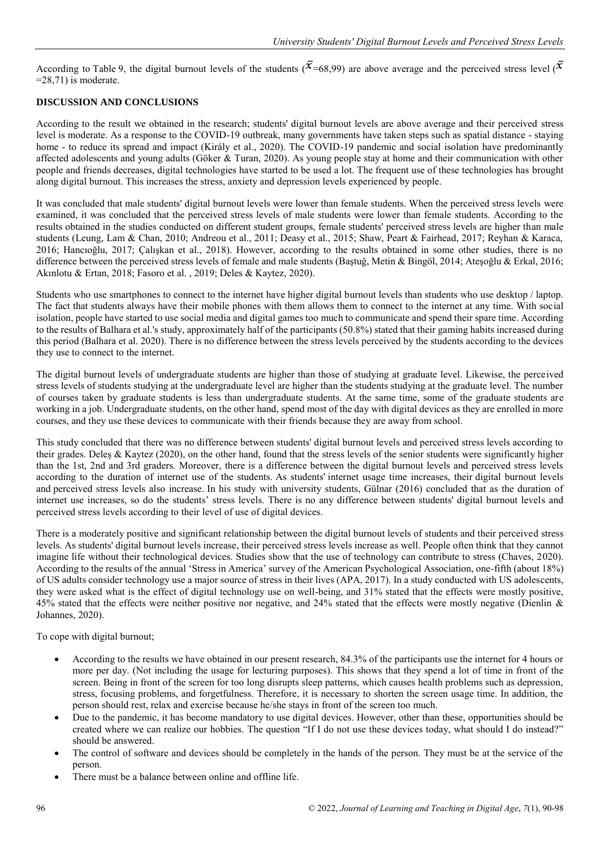According to Table 9, the digital burnout levels of the students ( $\bar{x}$ =68,99) are above average and the perceived stress level ( $\bar{x}$ )  $=28,71$ ) is moderate.

## **DISCUSSION AND CONCLUSIONS**

According to the result we obtained in the research; students' digital burnout levels are above average and their perceived stress level is moderate. As a response to the COVID-19 outbreak, many governments have taken steps such as spatial distance - staying home - to reduce its spread and impact (Király et al., 2020). The COVID-19 pandemic and social isolation have predominantly affected adolescents and young adults (Göker & Turan, 2020). As young people stay at home and their communication with other people and friends decreases, digital technologies have started to be used a lot. The frequent use of these technologies has brought along digital burnout. This increases the stress, anxiety and depression levels experienced by people.

It was concluded that male students' digital burnout levels were lower than female students. When the perceived stress levels were examined, it was concluded that the perceived stress levels of male students were lower than female students. According to the results obtained in the studies conducted on different student groups, female students' perceived stress levels are higher than male students (Leung, Lam & Chan, 2010; Andreou et al., 2011; Deasy et al., 2015; Shaw, Peart & Fairhead, 2017; Reyhan & Karaca, 2016; Hancıoğlu, 2017; Çalışkan et al., 2018). However, according to the results obtained in some other studies, there is no difference between the perceived stress levels of female and male students (Baştuğ, Metin & Bingöl, 2014; Ateşoğlu & Erkal, 2016; Akınlotu & Ertan, 2018; Fasoro et al. , 2019; Deles & Kaytez, 2020).

Students who use smartphones to connect to the internet have higher digital burnout levels than students who use desktop / laptop. The fact that students always have their mobile phones with them allows them to connect to the internet at any time. With social isolation, people have started to use social media and digital games too much to communicate and spend their spare time. According to the results of Balhara et al.'s study, approximately half of the participants (50.8%) stated that their gaming habits increased during this period (Balhara et al. 2020). There is no difference between the stress levels perceived by the students according to the devices they use to connect to the internet.

The digital burnout levels of undergraduate students are higher than those of studying at graduate level. Likewise, the perceived stress levels of students studying at the undergraduate level are higher than the students studying at the graduate level. The number of courses taken by graduate students is less than undergraduate students. At the same time, some of the graduate students are working in a job. Undergraduate students, on the other hand, spend most of the day with digital devices as they are enrolled in more courses, and they use these devices to communicate with their friends because they are away from school.

This study concluded that there was no difference between students' digital burnout levels and perceived stress levels according to their grades. Deles  $\&$  Kaytez (2020), on the other hand, found that the stress levels of the senior students were significantly higher than the 1st, 2nd and 3rd graders. Moreover, there is a difference between the digital burnout levels and perceived stress levels according to the duration of internet use of the students. As students' internet usage time increases, their digital burnout levels and perceived stress levels also increase. In his study with university students, Gülnar (2016) concluded that as the duration of internet use increases, so do the students' stress levels. There is no any difference between students' digital burnout levels and perceived stress levels according to their level of use of digital devices.

There is a moderately positive and significant relationship between the digital burnout levels of students and their perceived stress levels. As students' digital burnout levels increase, their perceived stress levels increase as well. People often think that they cannot imagine life without their technological devices. Studies show that the use of technology can contribute to stress (Chaves, 2020). According to the results of the annual 'Stress in America' survey of the American Psychological Association, one-fifth (about 18%) of US adults consider technology use a major source of stress in their lives (APA, 2017). In a study conducted with US adolescents, they were asked what is the effect of digital technology use on well-being, and 31% stated that the effects were mostly positive, 45% stated that the effects were neither positive nor negative, and 24% stated that the effects were mostly negative (Dienlin & Johannes, 2020).

To cope with digital burnout;

- According to the results we have obtained in our present research, 84.3% of the participants use the internet for 4 hours or more per day. (Not including the usage for lecturing purposes). This shows that they spend a lot of time in front of the screen. Being in front of the screen for too long disrupts sleep patterns, which causes health problems such as depression, stress, focusing problems, and forgetfulness. Therefore, it is necessary to shorten the screen usage time. In addition, the person should rest, relax and exercise because he/she stays in front of the screen too much.
- Due to the pandemic, it has become mandatory to use digital devices. However, other than these, opportunities should be created where we can realize our hobbies. The question "If I do not use these devices today, what should I do instead?" should be answered.
- The control of software and devices should be completely in the hands of the person. They must be at the service of the person.
- There must be a balance between online and offline life.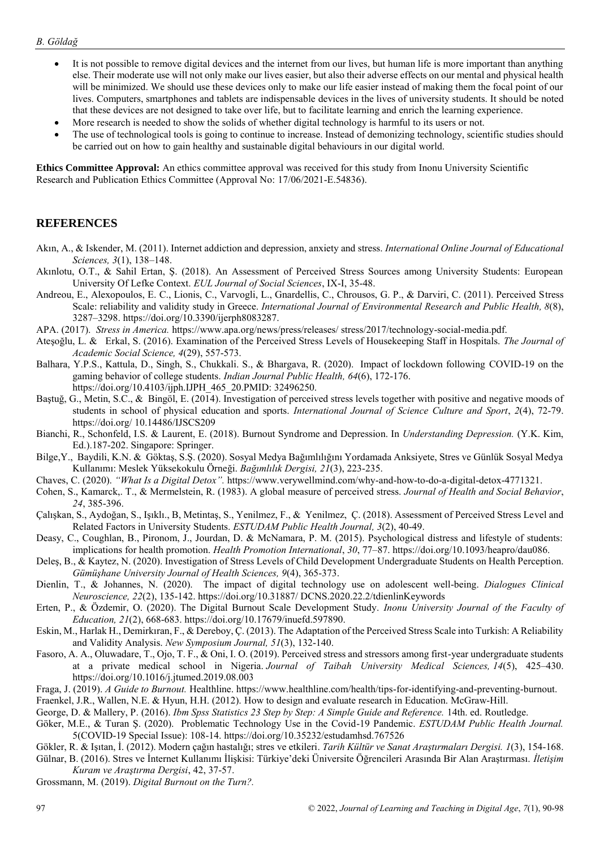- It is not possible to remove digital devices and the internet from our lives, but human life is more important than anything else. Their moderate use will not only make our lives easier, but also their adverse effects on our mental and physical health will be minimized. We should use these devices only to make our life easier instead of making them the focal point of our lives. Computers, smartphones and tablets are indispensable devices in the lives of university students. It should be noted that these devices are not designed to take over life, but to facilitate learning and enrich the learning experience.
- More research is needed to show the solids of whether digital technology is harmful to its users or not.
- The use of technological tools is going to continue to increase. Instead of demonizing technology, scientific studies should be carried out on how to gain healthy and sustainable digital behaviours in our digital world.

**Ethics Committee Approval:** An ethics committee approval was received for this study from Inonu University Scientific Research and Publication Ethics Committee (Approval No: 17/06/2021-E.54836).

## **REFERENCES**

- Akın, A., & Iskender, M. (2011). Internet addiction and depression, anxiety and stress. *International Online Journal of Educational Sciences, 3*(1), 138–148.
- Akınlotu, O.T., & Sahil Ertan, Ş. (2018). An Assessment of Perceived Stress Sources among University Students: European University Of Lefke Context. *EUL Journal of Social Sciences*, IX-I, 35-48.
- Andreou, E., Alexopoulos, E. C., Lionis, C., Varvogli, L., Gnardellis, C., Chrousos, G. P., & Darviri, C. (2011). Perceived Stress Scale: reliability and validity study in Greece. *International Journal of Environmental Research and Public Health, 8*(8), 3287–3298. https://doi.org/10.3390/ijerph8083287.
- APA. (2017). *Stress in America.* https://www.apa.org/news/press/releases/ stress/2017/technology-social-media.pdf.
- Ateşoğlu, L. & Erkal, S. (2016). Examination of the Perceived Stress Levels of Housekeeping Staff in Hospitals. *The Journal of Academic Social Science, 4*(29), 557-573.
- Balhara, Y.P.S., Kattula, D., Singh, S., Chukkali. S., & Bhargava, R. (2020). Impact of lockdown following COVID-19 on the gaming behavior of college students. *Indian Journal Public Health, 64*(6), 172-176. https://doi.org/10.4103/ijph.IJPH\_465\_20.PMID: 32496250.
- Baştuğ, G., Metin, S.C., & Bingöl, E. (2014). Investigation of perceived stress levels together with positive and negative moods of students in school of physical education and sports. *International Journal of Science Culture and Sport*, *2*(4), 72-79. https://doi.org/ 10.14486/IJSCS209
- Bianchi, R., Schonfeld, I.S. & Laurent, E. (2018). Burnout Syndrome and Depression. In *Understanding Depression.* (Y.K. Kim, Ed.).187-202. Singapore: Springer.
- Bilge,Y., Baydili, K.N. & Göktaş, S.Ş. (2020). Sosyal Medya Bağımlılığını Yordamada Anksiyete, Stres ve Günlük Sosyal Medya Kullanımı: Meslek Yüksekokulu Örneği. *Bağımlılık Dergisi, 21*(3), 223-235.
- Chaves, C. (2020). *"What Is a Digital Detox".* https://www.verywellmind.com/why-and-how-to-do-a-digital-detox-4771321.
- Cohen, S., Kamarck,. T., & Mermelstein, R. (1983). A global measure of perceived stress. *Journal of Health and Social Behavior*, *24*, 385-396.
- Çalışkan, S., Aydoğan, S., Işıklı., B, Metintaş, S., Yenilmez, F., & Yenilmez, Ç. (2018). Assessment of Perceived Stress Level and Related Factors in University Students. *ESTUDAM Public Health Journal, 3*(2), 40-49.
- Deasy, C., Coughlan, B., Pironom, J., Jourdan, D. & McNamara, P. M. (2015). Psychological distress and lifestyle of students: implications for health promotion. *Health Promotion International*, *30*, 77–87. https://doi.org/10.1093/heapro/dau086.
- Deleş, B., & Kaytez, N. (2020). Investigation of Stress Levels of Child Development Undergraduate Students on Health Perception. *Gümüşhane University Journal of Health Sciences, 9*(4), 365-373.
- Dienlin, T., & Johannes, N. (2020). The impact of digital technology use on adolescent well-being. *Dialogues Clinical Neuroscience, 22*(2), 135-142. https://doi.org/10.31887/ DCNS.2020.22.2/tdienlinKeywords
- Erten, P., & Özdemir, O. (2020). The Digital Burnout Scale Development Study. *Inonu University Journal of the Faculty of Education, 21*(2), 668-683. https://doi.org/10.17679/inuefd.597890.
- Eskin, M., Harlak H., Demirkıran, F., & Dereboy, Ç. (2013). The Adaptation of the Perceived Stress Scale into Turkish: A Reliability and Validity Analysis. *New Symposium Journal, 51*(3), 132-140.
- Fasoro, A. A., Oluwadare, T., Ojo, T. F., & Oni, I. O. (2019). Perceived stress and stressors among first-year undergraduate students at a private medical school in Nigeria. *Journal of Taibah University Medical Sciences, 14*(5), 425–430. https://doi.org/10.1016/j.jtumed.2019.08.003
- Fraga, J. (2019). *A Guide to Burnout.* Healthline. [https://www.healthline.com/health/tips-for-identifying-and-preventing-burnout.](https://www.healthline.com/health/tips-for-identifying-and-preventing-burnout)
- Fraenkel, J.R., Wallen, N.E. & Hyun, H.H. (2012). How to design and evaluate research in Education. McGraw-Hill.
- George, D. & Mallery, P. (2016). *Ibm Spss Statistics 23 Step by Step: A Simple Guide and Reference.* 14th. ed. Routledge.
- Göker, M.E., & Turan Ş. (2020). Problematic Technology Use in the Covid-19 Pandemic. *ESTUDAM Public Health Journal.*  5(COVID-19 Special Issue): 108-14. https://doi.org/10.35232/estudamhsd.767526
- Gökler, R. & Işıtan, İ. (2012). Modern çağın hastalığı; stres ve etkileri. *Tarih Kültür ve Sanat Araştırmaları Dergisi. 1*(3), 154-168.
- Gülnar, B. (2016). Stres ve İnternet Kullanımı İlişkisi: Türkiye'deki Üniversite Öğrencileri Arasında Bir Alan Araştırması. *İletişim Kuram ve Araştırma Dergisi*, 42, 37-57.
- Grossmann, M. (2019). *Digital Burnout on the Turn?.*